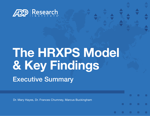

# **The HRXPS Model & Key Findings** Executive Summary

о

о

Dr. Mary Hayes, Dr. Frances Chumney, Marcus Buckingham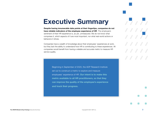## **Executive Summary**

**Despite having innumerable data points at their fingertips, companies do not have reliable indicators of the employee experience of HR**. The employee's sentiment of their HR experience is, as yet, unmeasured. We do not know what comprises it, which aspects of it are most important, nor what real-world actions or behaviors it drives.

Companies have a wealth of knowledge about their employees' experiences at work, but they lack the ability to understand how HR is contributing to these experiences. All companies would benefit from having a reliable and accurate metric to measure HR service quality.

> Beginning in September of 2020, the ADP Research Institute set out to construct a metric to explore and measure employees' experience of HR. **Our intent is to make this metric available to all HR practitioners, so that they can improve the quality of the employee's experience and track their progress.**

п

о

о

**D** 

о

п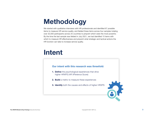## **Methodology**

We started with qualitative interviews with HR professionals and identified 67 possible items to measure HR service quality, and fielded these items across four samples totaling over 32,000 participants across 25 countries to pinpoint which were the most powerful. By the time the last sample was fielded in July 2021, we had identified 15 items with which to measure HR effectiveness and pinpoint what strategic and tactical actions the HR function can take to increase service quality.

## **Intent**

### **Our intent with this research was threefold:**

- **1. Define** the psychological experiences that drive higher HRXPS (HR XPerience Score)
- **2. Build** a metric to measure these experiences
- **3. Identify** both the causes and effects of higher HRXPS

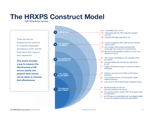## **The HRXPS Construct Model**

(HR XPerience Score)

These are the five experiences we've found to comprise employees' perceptions of HR, and the three items that measure each experience.

**This metric provides a way to measure the effectiveness of HR service quality and pinpoint what actions can be taken to increase that effectiveness**.

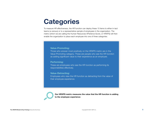## **Categories**

To measure HR effectiveness, the HR function can deploy these 15 items to either in-tact teams (a census) or to a representative sample of employees in the organization. The metric (which we are calling the Human Resources XPerience Score, or HRXPS) will then enable the organization to place each employee into one of three categories:

### **Value-Promoting:**

Those who answer most positively on the HRXPS metric are in the Value-Promoting category. These are people who see the HR function as adding significant value to their experience as an employee.

#### **Performing:**

These are employees who see the HR function as performing its responsibilities effectively.

### **Value-Detracting:**

Employees who view the HR function as detracting from the value of their employee experience.



**Our HRXPS metric measures the value that the HR function is adding to the employee experience**.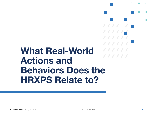# **What Real-World Actions and Behaviors Does the HRXPS Relate to?**

**F** 

 $111111$ 

 $11111$ 

**CO** 

о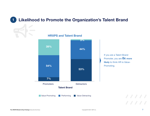## **1 Likelihood to Promote the Organization's Talent Brand**

**HRXPS and Talent Brand**



If you are a Talent Brand Promoter, you are **8x more likely** to think HR is Value-Promoting.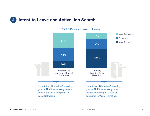## **2 Intent to Leave and Active Job Search**



### **HRXPS Drives Intent to Leave**

no intent to leave compared to Value-Detracting.

actively searching for a new job compared to Value-Promoting.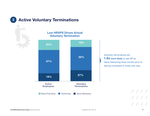**3 Active Voluntary Terminations** 

**Low HRXPS Drives Actual Voluntary Termination**



Voluntary terminations are **1.6x more likely** to see HR as Value-Detracting three months prior to leaving compared to those who stay.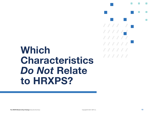# **Which Characteristics Do Not Relate to HRXPS?**

o

**CO** 

о

**F** 

 $111111$ 

 $11111$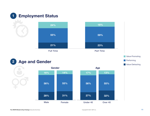

## **2 Age and Gender**



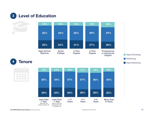**3 Level of Education**



**The HRXPS Model & Key Findings** Executive Summary Copyright © 2021 ADP, Inc. **12**

before COVID-19)

employment due to COVID-19)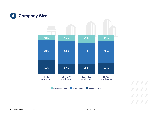

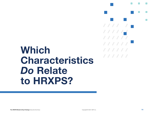# **Which Characteristics**  *Do* Relate **to HRXPS?**

**In** 

 $\Box$ 

 $111111$ 

 $11111$ 

 $\overline{\phantom{a}}$ 

**CO** 

 $\Box$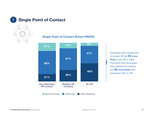

### **Single Point of Contact Drives HRXPS**



Employees with a single point of contact HR are **2x more likely** to say HR is Value-Promoting than employees with multiple HR contacts and **5x more likely** than employees with no HR.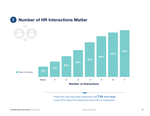

Those who have had seven interactions are **7.4x more likely**  to say HR is Value-Promoting than those with no interactions.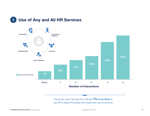



Those who use 5 services from HR are **11x more likely** to say HR is Value-Promoting than those who use no services.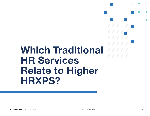# **Which Traditional HR Services Relate to Higher HRXPS?**

**D** 

**CO** 

П

**F** 

 $11111$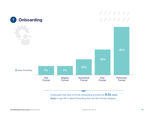

Employees that have a formal onboarding process are **8.5x more likely** to say HR is Value-Promoting than the Not Formal category.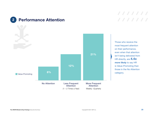



Those who receive the most frequent attention on their performance, even when that attention isn't being delivered from HR directly, are **4.4x more likely** to say HR is Value-Promoting than those in the No Attention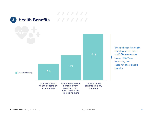

Those who receive health benefits and use them are **3.5x more likely** to say HR is Value-Promoting than those not offered health benefits.